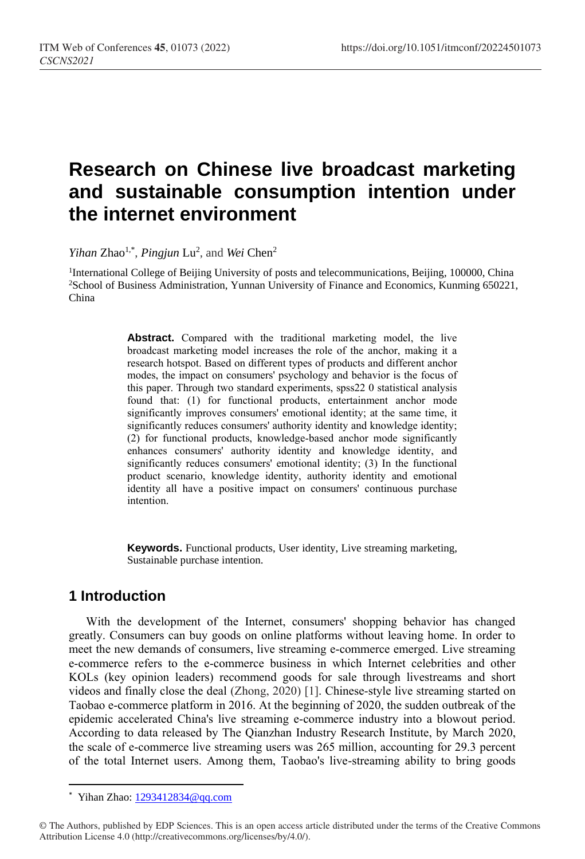# **Research on Chinese live broadcast marketing and sustainable consumption intention under the internet environment**

*Yihan* Zhao<sup>1,\*</sup>, *Pingjun* Lu<sup>2</sup>, and *Wei* Chen<sup>2</sup>

<sup>1</sup>International College of Beijing University of posts and telecommunications, Beijing, 100000, China <sup>2</sup>School of Business Administration, Yunnan University of Finance and Economics, Kunming 650221, China

> **Abstract.** Compared with the traditional marketing model, the live broadcast marketing model increases the role of the anchor, making it a research hotspot. Based on different types of products and different anchor modes, the impact on consumers' psychology and behavior is the focus of this paper. Through two standard experiments, spss22 0 statistical analysis found that: (1) for functional products, entertainment anchor mode significantly improves consumers' emotional identity; at the same time, it significantly reduces consumers' authority identity and knowledge identity; (2) for functional products, knowledge-based anchor mode significantly enhances consumers' authority identity and knowledge identity, and significantly reduces consumers' emotional identity; (3) In the functional product scenario, knowledge identity, authority identity and emotional identity all have a positive impact on consumers' continuous purchase intention.

> **Keywords.** Functional products, User identity, Live streaming marketing, Sustainable purchase intention.

# **1 Introduction**

With the development of the Internet, consumers' shopping behavior has changed greatly. Consumers can buy goods on online platforms without leaving home. In order to meet the new demands of consumers, live streaming e-commerce emerged. Live streaming e-commerce refers to the e-commerce business in which Internet celebrities and other KOLs (key opinion leaders) recommend goods for sale through livestreams and short videos and finally close the deal (Zhong, 2020) [1]. Chinese-style live streaming started on Taobao e-commerce platform in 2016. At the beginning of 2020, the sudden outbreak of the epidemic accelerated China's live streaming e-commerce industry into a blowout period. According to data released by The Qianzhan Industry Research Institute, by March 2020, the scale of e-commerce live streaming users was 265 million, accounting for 29.3 percent of the total Internet users. Among them, Taobao's live-streaming ability to bring goods

 $\overline{a}$ 

<sup>\*</sup> Yihan Zhao:  $1293412834@qq.com$ 

<sup>©</sup> The Authors, published by EDP Sciences. This is an open access article distributed under the terms of the Creative Commons Attribution License 4.0 (http://creativecommons.org/licenses/by/4.0/).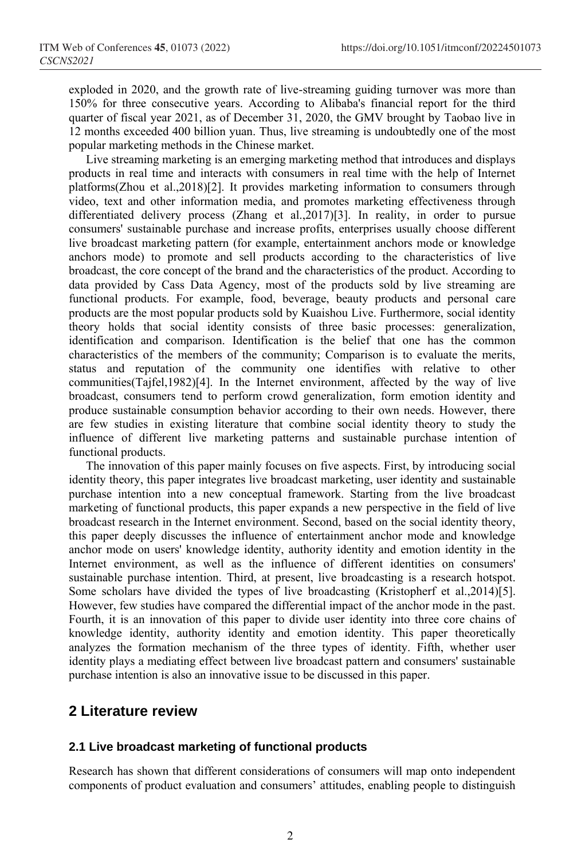exploded in 2020, and the growth rate of live-streaming guiding turnover was more than 150% for three consecutive years. According to Alibaba's financial report for the third quarter of fiscal year 2021, as of December 31, 2020, the GMV brought by Taobao live in 12 months exceeded 400 billion yuan. Thus, live streaming is undoubtedly one of the most popular marketing methods in the Chinese market.

Live streaming marketing is an emerging marketing method that introduces and displays products in real time and interacts with consumers in real time with the help of Internet platforms(Zhou et al.,2018)[2]. It provides marketing information to consumers through video, text and other information media, and promotes marketing effectiveness through differentiated delivery process (Zhang et al.,2017)[3]. In reality, in order to pursue consumers' sustainable purchase and increase profits, enterprises usually choose different live broadcast marketing pattern (for example, entertainment anchors mode or knowledge anchors mode) to promote and sell products according to the characteristics of live broadcast, the core concept of the brand and the characteristics of the product. According to data provided by Cass Data Agency, most of the products sold by live streaming are functional products. For example, food, beverage, beauty products and personal care products are the most popular products sold by Kuaishou Live. Furthermore, social identity theory holds that social identity consists of three basic processes: generalization, identification and comparison. Identification is the belief that one has the common characteristics of the members of the community; Comparison is to evaluate the merits, status and reputation of the community one identifies with relative to other communities(Tajfel,1982)[4]. In the Internet environment, affected by the way of live broadcast, consumers tend to perform crowd generalization, form emotion identity and produce sustainable consumption behavior according to their own needs. However, there are few studies in existing literature that combine social identity theory to study the influence of different live marketing patterns and sustainable purchase intention of functional products.

The innovation of this paper mainly focuses on five aspects. First, by introducing social identity theory, this paper integrates live broadcast marketing, user identity and sustainable purchase intention into a new conceptual framework. Starting from the live broadcast marketing of functional products, this paper expands a new perspective in the field of live broadcast research in the Internet environment. Second, based on the social identity theory, this paper deeply discusses the influence of entertainment anchor mode and knowledge anchor mode on users' knowledge identity, authority identity and emotion identity in the Internet environment, as well as the influence of different identities on consumers' sustainable purchase intention. Third, at present, live broadcasting is a research hotspot. Some scholars have divided the types of live broadcasting (Kristopherf et al.,2014)[5]. However, few studies have compared the differential impact of the anchor mode in the past. Fourth, it is an innovation of this paper to divide user identity into three core chains of knowledge identity, authority identity and emotion identity. This paper theoretically analyzes the formation mechanism of the three types of identity. Fifth, whether user identity plays a mediating effect between live broadcast pattern and consumers' sustainable purchase intention is also an innovative issue to be discussed in this paper.

# **2 Literature review**

### **2.1 Live broadcast marketing of functional products**

Research has shown that different considerations of consumers will map onto independent components of product evaluation and consumers' attitudes, enabling people to distinguish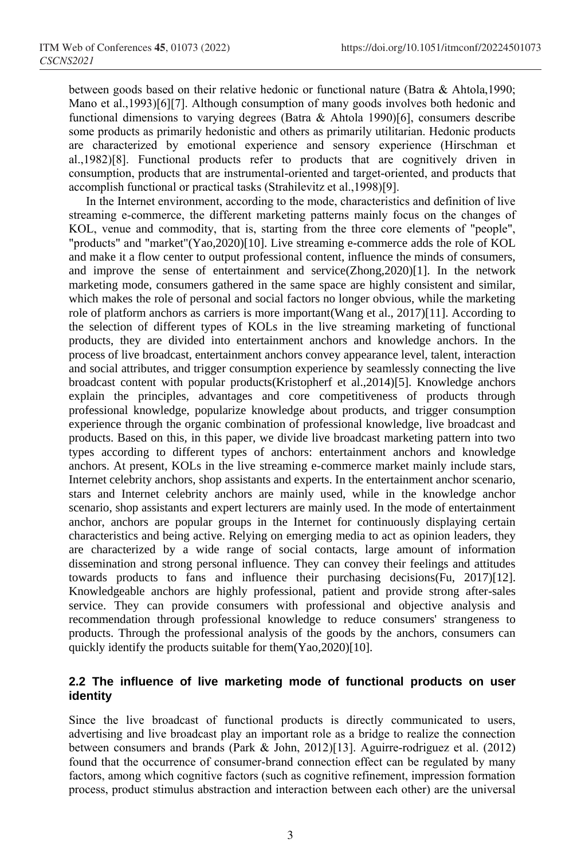between goods based on their relative hedonic or functional nature (Batra & Ahtola,1990; Mano et al.,1993)[6][7]. Although consumption of many goods involves both hedonic and functional dimensions to varying degrees (Batra & Ahtola 1990)[6], consumers describe some products as primarily hedonistic and others as primarily utilitarian. Hedonic products are characterized by emotional experience and sensory experience (Hirschman et al.,1982)[8]. Functional products refer to products that are cognitively driven in consumption, products that are instrumental-oriented and target-oriented, and products that accomplish functional or practical tasks (Strahilevitz et al.,1998)[9].

In the Internet environment, according to the mode, characteristics and definition of live streaming e-commerce, the different marketing patterns mainly focus on the changes of KOL, venue and commodity, that is, starting from the three core elements of "people", "products" and "market"(Yao,2020)[10]. Live streaming e-commerce adds the role of KOL and make it a flow center to output professional content, influence the minds of consumers, and improve the sense of entertainment and service(Zhong,2020)[1]. In the network marketing mode, consumers gathered in the same space are highly consistent and similar, which makes the role of personal and social factors no longer obvious, while the marketing role of platform anchors as carriers is more important(Wang et al., 2017)[11]. According to the selection of different types of KOLs in the live streaming marketing of functional products, they are divided into entertainment anchors and knowledge anchors. In the process of live broadcast, entertainment anchors convey appearance level, talent, interaction and social attributes, and trigger consumption experience by seamlessly connecting the live broadcast content with popular products(Kristopherf et al.,2014)[5]. Knowledge anchors explain the principles, advantages and core competitiveness of products through professional knowledge, popularize knowledge about products, and trigger consumption experience through the organic combination of professional knowledge, live broadcast and products. Based on this, in this paper, we divide live broadcast marketing pattern into two types according to different types of anchors: entertainment anchors and knowledge anchors. At present, KOLs in the live streaming e-commerce market mainly include stars, Internet celebrity anchors, shop assistants and experts. In the entertainment anchor scenario, stars and Internet celebrity anchors are mainly used, while in the knowledge anchor scenario, shop assistants and expert lecturers are mainly used. In the mode of entertainment anchor, anchors are popular groups in the Internet for continuously displaying certain characteristics and being active. Relying on emerging media to act as opinion leaders, they are characterized by a wide range of social contacts, large amount of information dissemination and strong personal influence. They can convey their feelings and attitudes towards products to fans and influence their purchasing decisions(Fu, 2017)[12]. Knowledgeable anchors are highly professional, patient and provide strong after-sales service. They can provide consumers with professional and objective analysis and recommendation through professional knowledge to reduce consumers' strangeness to products. Through the professional analysis of the goods by the anchors, consumers can quickly identify the products suitable for them(Yao,2020)[10].

### **2.2 The influence of live marketing mode of functional products on user identity**

Since the live broadcast of functional products is directly communicated to users, advertising and live broadcast play an important role as a bridge to realize the connection between consumers and brands (Park & John, 2012)[13]. Aguirre-rodriguez et al. (2012) found that the occurrence of consumer-brand connection effect can be regulated by many factors, among which cognitive factors (such as cognitive refinement, impression formation process, product stimulus abstraction and interaction between each other) are the universal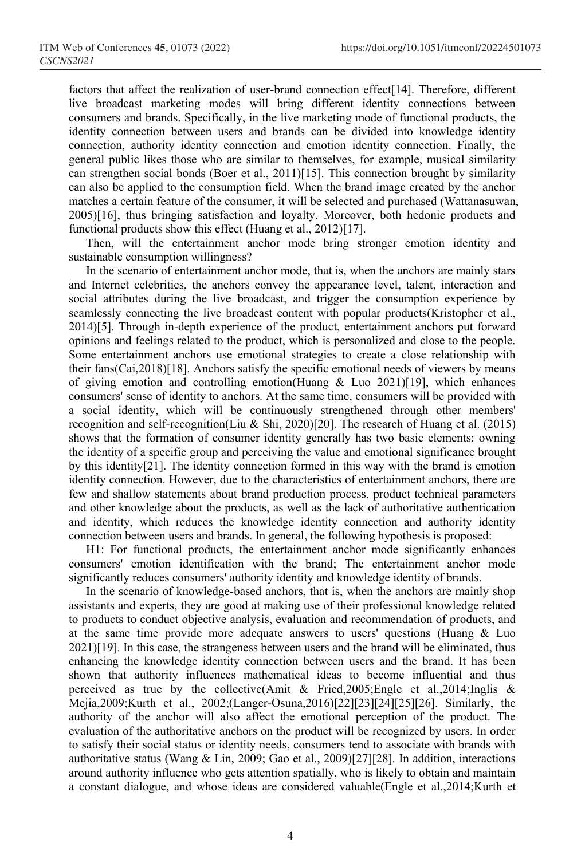factors that affect the realization of user-brand connection effect [14]. Therefore, different live broadcast marketing modes will bring different identity connections between consumers and brands. Specifically, in the live marketing mode of functional products, the identity connection between users and brands can be divided into knowledge identity connection, authority identity connection and emotion identity connection. Finally, the general public likes those who are similar to themselves, for example, musical similarity can strengthen social bonds (Boer et al., 2011)[15]. This connection brought by similarity can also be applied to the consumption field. When the brand image created by the anchor matches a certain feature of the consumer, it will be selected and purchased (Wattanasuwan, 2005)[16], thus bringing satisfaction and loyalty. Moreover, both hedonic products and functional products show this effect (Huang et al., 2012)[17].

Then, will the entertainment anchor mode bring stronger emotion identity and sustainable consumption willingness?

In the scenario of entertainment anchor mode, that is, when the anchors are mainly stars and Internet celebrities, the anchors convey the appearance level, talent, interaction and social attributes during the live broadcast, and trigger the consumption experience by seamlessly connecting the live broadcast content with popular products(Kristopher et al., 2014)[5]. Through in-depth experience of the product, entertainment anchors put forward opinions and feelings related to the product, which is personalized and close to the people. Some entertainment anchors use emotional strategies to create a close relationship with their fans(Cai,2018)[18]. Anchors satisfy the specific emotional needs of viewers by means of giving emotion and controlling emotion(Huang  $\&$  Luo 2021)[19], which enhances consumers' sense of identity to anchors. At the same time, consumers will be provided with a social identity, which will be continuously strengthened through other members' recognition and self-recognition(Liu & Shi, 2020)[20]. The research of Huang et al. (2015) shows that the formation of consumer identity generally has two basic elements: owning the identity of a specific group and perceiving the value and emotional significance brought by this identity[21]. The identity connection formed in this way with the brand is emotion identity connection. However, due to the characteristics of entertainment anchors, there are few and shallow statements about brand production process, product technical parameters and other knowledge about the products, as well as the lack of authoritative authentication and identity, which reduces the knowledge identity connection and authority identity connection between users and brands. In general, the following hypothesis is proposed:

H1: For functional products, the entertainment anchor mode significantly enhances consumers' emotion identification with the brand; The entertainment anchor mode significantly reduces consumers' authority identity and knowledge identity of brands.

In the scenario of knowledge-based anchors, that is, when the anchors are mainly shop assistants and experts, they are good at making use of their professional knowledge related to products to conduct objective analysis, evaluation and recommendation of products, and at the same time provide more adequate answers to users' questions (Huang & Luo 2021)[19]. In this case, the strangeness between users and the brand will be eliminated, thus enhancing the knowledge identity connection between users and the brand. It has been shown that authority influences mathematical ideas to become influential and thus perceived as true by the collective(Amit & Fried, 2005; Engle et al., 2014; Inglis & Mejia,2009;Kurth et al., 2002;(Langer-Osuna,2016)[22][23][24][25][26]. Similarly, the authority of the anchor will also affect the emotional perception of the product. The evaluation of the authoritative anchors on the product will be recognized by users. In order to satisfy their social status or identity needs, consumers tend to associate with brands with authoritative status (Wang & Lin, 2009; Gao et al., 2009)[27][28]. In addition, interactions around authority influence who gets attention spatially, who is likely to obtain and maintain a constant dialogue, and whose ideas are considered valuable(Engle et al.,2014;Kurth et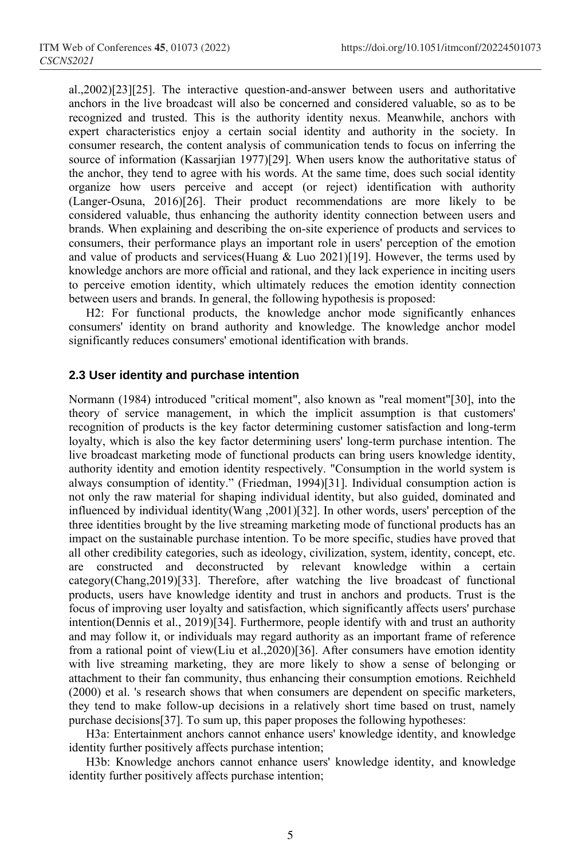al.,2002)[23][25]. The interactive question-and-answer between users and authoritative anchors in the live broadcast will also be concerned and considered valuable, so as to be recognized and trusted. This is the authority identity nexus. Meanwhile, anchors with expert characteristics enjoy a certain social identity and authority in the society. In consumer research, the content analysis of communication tends to focus on inferring the source of information (Kassarjian 1977)[29]. When users know the authoritative status of the anchor, they tend to agree with his words. At the same time, does such social identity organize how users perceive and accept (or reject) identification with authority (Langer-Osuna, 2016)[26]. Their product recommendations are more likely to be considered valuable, thus enhancing the authority identity connection between users and brands. When explaining and describing the on-site experience of products and services to consumers, their performance plays an important role in users' perception of the emotion and value of products and services(Huang  $& Luo 2021)[19]$ . However, the terms used by knowledge anchors are more official and rational, and they lack experience in inciting users to perceive emotion identity, which ultimately reduces the emotion identity connection between users and brands. In general, the following hypothesis is proposed:

H2: For functional products, the knowledge anchor mode significantly enhances consumers' identity on brand authority and knowledge. The knowledge anchor model significantly reduces consumers' emotional identification with brands.

#### **2.3 User identity and purchase intention**

Normann (1984) introduced "critical moment", also known as "real moment"[30], into the theory of service management, in which the implicit assumption is that customers' recognition of products is the key factor determining customer satisfaction and long-term loyalty, which is also the key factor determining users' long-term purchase intention. The live broadcast marketing mode of functional products can bring users knowledge identity, authority identity and emotion identity respectively. "Consumption in the world system is always consumption of identity." (Friedman, 1994)[31]. Individual consumption action is not only the raw material for shaping individual identity, but also guided, dominated and influenced by individual identity(Wang ,2001)[32]. In other words, users' perception of the three identities brought by the live streaming marketing mode of functional products has an impact on the sustainable purchase intention. To be more specific, studies have proved that all other credibility categories, such as ideology, civilization, system, identity, concept, etc. are constructed and deconstructed by relevant knowledge within a certain category(Chang,2019)[33]. Therefore, after watching the live broadcast of functional products, users have knowledge identity and trust in anchors and products. Trust is the focus of improving user loyalty and satisfaction, which significantly affects users' purchase intention(Dennis et al., 2019)[34]. Furthermore, people identify with and trust an authority and may follow it, or individuals may regard authority as an important frame of reference from a rational point of view(Liu et al.,2020)[36]. After consumers have emotion identity with live streaming marketing, they are more likely to show a sense of belonging or attachment to their fan community, thus enhancing their consumption emotions. Reichheld (2000) et al. 's research shows that when consumers are dependent on specific marketers, they tend to make follow-up decisions in a relatively short time based on trust, namely purchase decisions[37]. To sum up, this paper proposes the following hypotheses:

H3a: Entertainment anchors cannot enhance users' knowledge identity, and knowledge identity further positively affects purchase intention;

H3b: Knowledge anchors cannot enhance users' knowledge identity, and knowledge identity further positively affects purchase intention;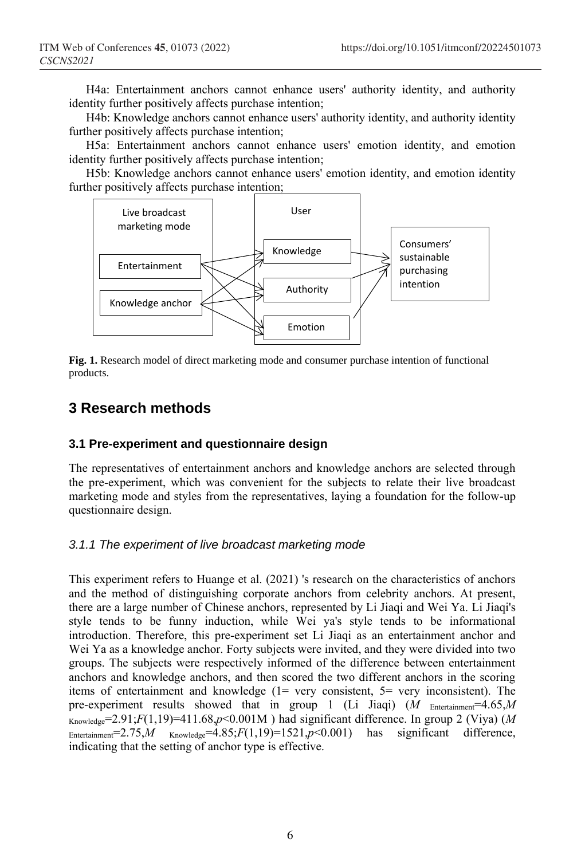H4a: Entertainment anchors cannot enhance users' authority identity, and authority identity further positively affects purchase intention;

H4b: Knowledge anchors cannot enhance users' authority identity, and authority identity further positively affects purchase intention;

H5a: Entertainment anchors cannot enhance users' emotion identity, and emotion identity further positively affects purchase intention;

H5b: Knowledge anchors cannot enhance users' emotion identity, and emotion identity further positively affects purchase intention;



**Fig. 1.** Research model of direct marketing mode and consumer purchase intention of functional products.

# **3 Research methods**

### **3.1 Pre-experiment and questionnaire design**

The representatives of entertainment anchors and knowledge anchors are selected through the pre-experiment, which was convenient for the subjects to relate their live broadcast marketing mode and styles from the representatives, laying a foundation for the follow-up questionnaire design.

### *3.1.1 The experiment of live broadcast marketing mode*

This experiment refers to Huange et al. (2021) 's research on the characteristics of anchors and the method of distinguishing corporate anchors from celebrity anchors. At present, there are a large number of Chinese anchors, represented by Li Jiaqi and Wei Ya. Li Jiaqi's style tends to be funny induction, while Wei ya's style tends to be informational introduction. Therefore, this pre-experiment set Li Jiaqi as an entertainment anchor and Wei Ya as a knowledge anchor. Forty subjects were invited, and they were divided into two groups. The subjects were respectively informed of the difference between entertainment anchors and knowledge anchors, and then scored the two different anchors in the scoring items of entertainment and knowledge (1= very consistent, 5= very inconsistent). The pre-experiment results showed that in group 1 (Li Jiaqi) (*M* Entertainment<sup>=4.65</sup>,*M*  $K$ nowledge=2.91;*F*(1,19)=411.68,*p*<0.001M) had significant difference. In group 2 (Viya) (*M* Entertainment=2.75,*M*  $_{\text{Knowledge}}=4.85; F(1,19)=1521, p<0.001$  has significant difference, indicating that the setting of anchor type is effective.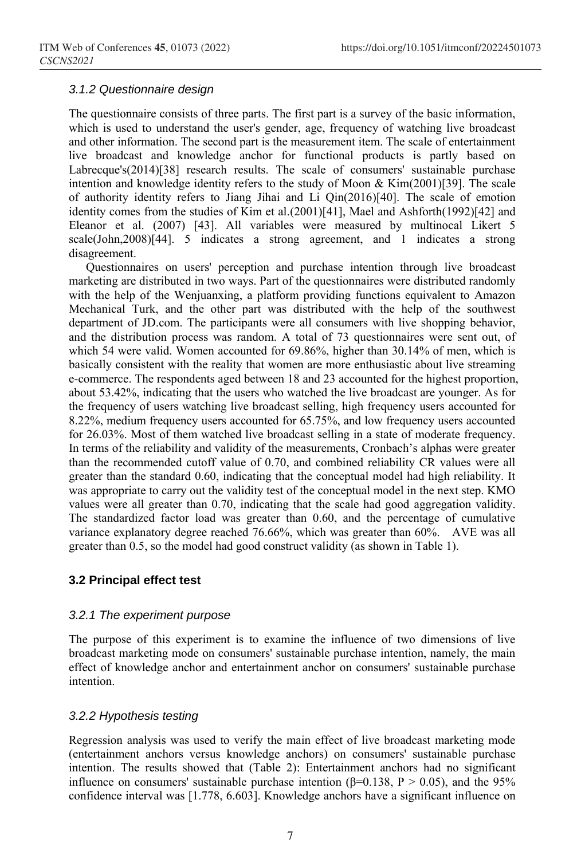#### *3.1.2 Questionnaire design*

The questionnaire consists of three parts. The first part is a survey of the basic information, which is used to understand the user's gender, age, frequency of watching live broadcast and other information. The second part is the measurement item. The scale of entertainment live broadcast and knowledge anchor for functional products is partly based on Labrecque's(2014)[38] research results. The scale of consumers' sustainable purchase intention and knowledge identity refers to the study of Moon & Kim(2001)[39]. The scale of authority identity refers to Jiang Jihai and Li Qin(2016)[40]. The scale of emotion identity comes from the studies of Kim et al.(2001)[41], Mael and Ashforth(1992)[42] and Eleanor et al. (2007) [43]. All variables were measured by multinocal Likert 5 scale(John,2008)[44]. 5 indicates a strong agreement, and 1 indicates a strong disagreement.

Questionnaires on users' perception and purchase intention through live broadcast marketing are distributed in two ways. Part of the questionnaires were distributed randomly with the help of the Wenjuanxing, a platform providing functions equivalent to Amazon Mechanical Turk, and the other part was distributed with the help of the southwest department of JD.com. The participants were all consumers with live shopping behavior, and the distribution process was random. A total of 73 questionnaires were sent out, of which 54 were valid. Women accounted for 69.86%, higher than 30.14% of men, which is basically consistent with the reality that women are more enthusiastic about live streaming e-commerce. The respondents aged between 18 and 23 accounted for the highest proportion, about 53.42%, indicating that the users who watched the live broadcast are younger. As for the frequency of users watching live broadcast selling, high frequency users accounted for 8.22%, medium frequency users accounted for 65.75%, and low frequency users accounted for 26.03%. Most of them watched live broadcast selling in a state of moderate frequency. In terms of the reliability and validity of the measurements, Cronbach's alphas were greater than the recommended cutoff value of 0.70, and combined reliability CR values were all greater than the standard 0.60, indicating that the conceptual model had high reliability. It was appropriate to carry out the validity test of the conceptual model in the next step. KMO values were all greater than 0.70, indicating that the scale had good aggregation validity. The standardized factor load was greater than 0.60, and the percentage of cumulative variance explanatory degree reached 76.66%, which was greater than 60%. AVE was all greater than 0.5, so the model had good construct validity (as shown in Table 1).

#### **3.2 Principal effect test**

#### *3.2.1 The experiment purpose*

The purpose of this experiment is to examine the influence of two dimensions of live broadcast marketing mode on consumers' sustainable purchase intention, namely, the main effect of knowledge anchor and entertainment anchor on consumers' sustainable purchase intention.

#### *3.2.2 Hypothesis testing*

Regression analysis was used to verify the main effect of live broadcast marketing mode (entertainment anchors versus knowledge anchors) on consumers' sustainable purchase intention. The results showed that (Table 2): Entertainment anchors had no significant influence on consumers' sustainable purchase intention (β=0.138, P > 0.05), and the 95% confidence interval was [1.778, 6.603]. Knowledge anchors have a significant influence on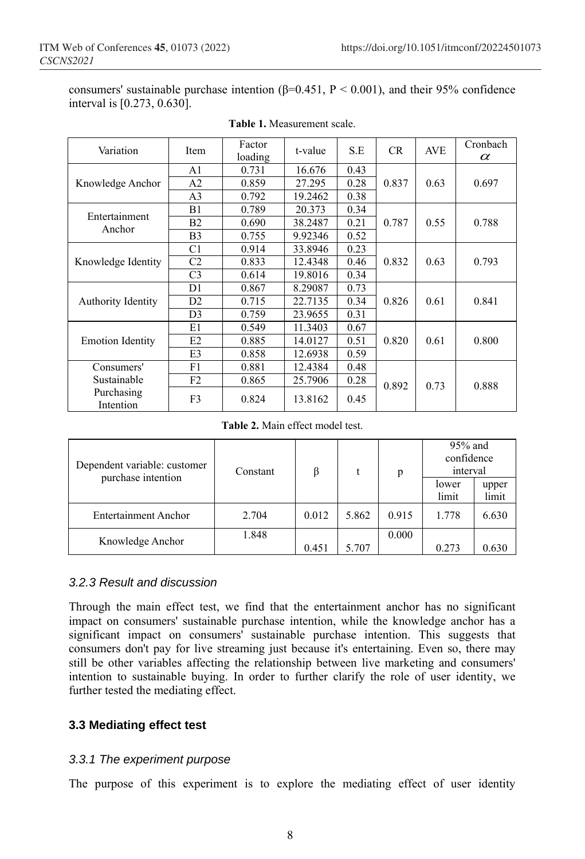consumers' sustainable purchase intention  $(\beta=0.451, P \le 0.001)$ , and their 95% confidence interval is [0.273, 0.630].

| Variation                 | Item           | Factor<br>loading | t-value | S.E  | CR.   | <b>AVE</b> | Cronbach<br>$\alpha$ |  |
|---------------------------|----------------|-------------------|---------|------|-------|------------|----------------------|--|
|                           | A1             | 0.731             | 16.676  | 0.43 |       |            |                      |  |
| Knowledge Anchor          | A2             | 0.859             | 27.295  | 0.28 | 0.837 | 0.63       | 0.697                |  |
|                           | A <sub>3</sub> | 0.792             | 19.2462 | 0.38 |       |            |                      |  |
| Entertainment             | B1             | 0.789             | 20.373  | 0.34 |       |            |                      |  |
| Anchor                    | B <sub>2</sub> | 0.690             | 38.2487 | 0.21 | 0.787 | 0.55       | 0.788                |  |
|                           | B <sub>3</sub> | 0.755             | 9.92346 | 0.52 |       |            |                      |  |
|                           | C <sub>1</sub> | 0.914             | 33.8946 | 0.23 |       |            |                      |  |
| Knowledge Identity        | C <sub>2</sub> | 0.833             | 12.4348 | 0.46 | 0.832 | 0.63       | 0.793                |  |
|                           | C <sub>3</sub> | 0.614             | 19.8016 | 0.34 |       |            |                      |  |
|                           | D1             | 0.867             | 8.29087 | 0.73 |       | 0.61       |                      |  |
| <b>Authority Identity</b> | D2             | 0.715             | 22.7135 | 0.34 | 0.826 |            | 0.841                |  |
|                           | D <sub>3</sub> | 0.759             | 23.9655 | 0.31 |       |            |                      |  |
|                           | E1             | 0.549             | 11.3403 | 0.67 |       |            |                      |  |
| <b>Emotion Identity</b>   | E2             | 0.885             | 14.0127 | 0.51 | 0.820 | 0.61       | 0.800                |  |
|                           | E3             | 0.858             | 12.6938 | 0.59 |       |            |                      |  |
| Consumers'                | F1             | 0.881             | 12.4384 | 0.48 |       |            |                      |  |
| Sustainable               | F2             | 0.865             | 25.7906 | 0.28 | 0.892 | 0.73       | 0.888                |  |
| Purchasing<br>Intention   | F3             | 0.824             | 13.8162 | 0.45 |       |            |                      |  |

#### **Table 1.** Measurement scale.

**Table 2.** Main effect model test.

| Dependent variable: customer | Constant | ß     |       | p     | $95%$ and<br>confidence<br>interval |                |  |
|------------------------------|----------|-------|-------|-------|-------------------------------------|----------------|--|
| purchase intention           |          |       |       |       | lower<br>limit                      | upper<br>limit |  |
| <b>Entertainment Anchor</b>  | 2.704    | 0.012 | 5.862 | 0.915 | 1.778                               | 6.630          |  |
| Knowledge Anchor             | 1.848    | 0.451 | 5.707 | 0.000 | 0.273                               | 0.630          |  |

#### *3.2.3 Result and discussion*

Through the main effect test, we find that the entertainment anchor has no significant impact on consumers' sustainable purchase intention, while the knowledge anchor has a significant impact on consumers' sustainable purchase intention. This suggests that consumers don't pay for live streaming just because it's entertaining. Even so, there may still be other variables affecting the relationship between live marketing and consumers' intention to sustainable buying. In order to further clarify the role of user identity, we further tested the mediating effect.

### **3.3 Mediating effect test**

#### *3.3.1 The experiment purpose*

The purpose of this experiment is to explore the mediating effect of user identity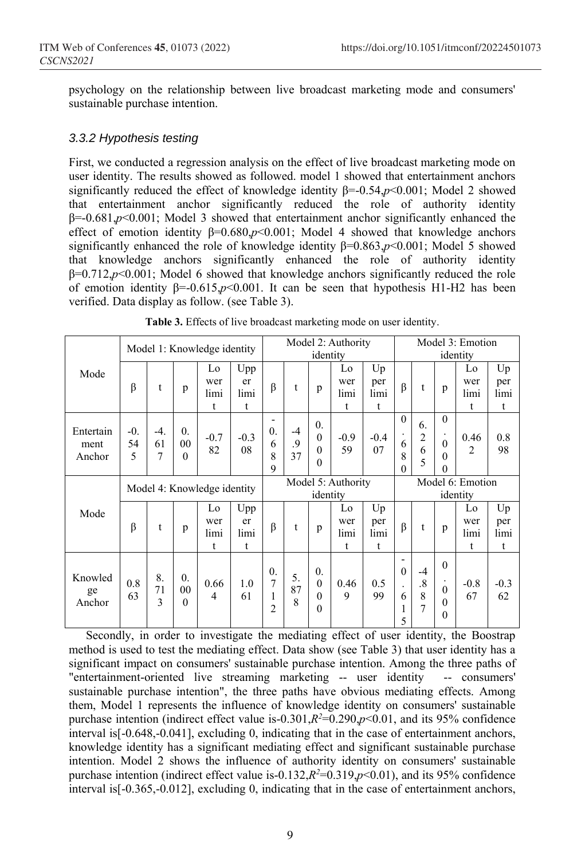psychology on the relationship between live broadcast marketing mode and consumers' sustainable purchase intention.

#### *3.3.2 Hypothesis testing*

First, we conducted a regression analysis on the effect of live broadcast marketing mode on user identity. The results showed as followed. model 1 showed that entertainment anchors significantly reduced the effect of knowledge identity β=-0.54,*p*<0.001; Model 2 showed that entertainment anchor significantly reduced the role of authority identity β=-0.681,*p*<0.001; Model 3 showed that entertainment anchor significantly enhanced the effect of emotion identity  $\beta = 0.680, p \le 0.001$ ; Model 4 showed that knowledge anchors significantly enhanced the role of knowledge identity β=0.863,*p*<0.001; Model 5 showed that knowledge anchors significantly enhanced the role of authority identity β=0.712,*p*<0.001; Model 6 showed that knowledge anchors significantly reduced the role of emotion identity β=-0.615,*p*<0.001. It can be seen that hypothesis H1-H2 has been verified. Data display as follow. (see Table 3).

|                             | Model 1: Knowledge identity |                  |                                                |                        |                                | Model 2: Authority<br>identity                      |                  |                                                          |                        |                              | Model 3: Emotion<br>identity            |                                        |                                                                     |                        |                        |
|-----------------------------|-----------------------------|------------------|------------------------------------------------|------------------------|--------------------------------|-----------------------------------------------------|------------------|----------------------------------------------------------|------------------------|------------------------------|-----------------------------------------|----------------------------------------|---------------------------------------------------------------------|------------------------|------------------------|
| Mode                        | β                           | t                | p                                              | Lo<br>wer<br>limi<br>t | Upp<br>er<br>limi<br>t         | $\beta$                                             | t                | p                                                        | Lo<br>wer<br>limi<br>t | Up<br>per<br>limi<br>t       | $\beta$                                 | t                                      | p                                                                   | Lo<br>wer<br>limi<br>t | Up<br>per<br>limi<br>t |
| Entertain<br>ment<br>Anchor | $-0$ .<br>54<br>5           | $-4.$<br>61<br>7 | $\overline{0}$ .<br>00<br>$\theta$             | $-0.7$<br>82           | $-0.3$<br>08                   | -<br>$\overline{0}$ .<br>6<br>8<br>9                | $-4$<br>.9<br>37 | $\overline{0}$ .<br>$\theta$<br>$\theta$<br>$\theta$     | $-0.9$<br>59           | $-0.4$<br>07                 | $\theta$<br>6<br>8<br>0                 | 6.<br>$\overline{c}$<br>6<br>5         | $\theta$<br>$\theta$<br>$\mathbf{0}$<br>$\theta$                    | 0.46<br>$\overline{2}$ | 0.8<br>98              |
|                             | Model 4: Knowledge identity |                  |                                                |                        | Model 5: Authority<br>identity |                                                     |                  |                                                          |                        | Model 6: Emotion<br>identity |                                         |                                        |                                                                     |                        |                        |
| Mode                        | β                           | t                | p                                              | Lo<br>wer<br>limi<br>t | Upp<br>er<br>limi<br>t         | $\beta$                                             | t                | p                                                        | Lo<br>wer<br>limi<br>t | Up<br>per<br>limi<br>t       | $\beta$                                 | t                                      | p                                                                   | Lo<br>wer<br>limi<br>t | Up<br>per<br>limi<br>t |
| Knowled<br>ge<br>Anchor     | 0.8<br>63                   | 8.<br>71<br>3    | $\overline{0}$ .<br>0 <sub>0</sub><br>$\Omega$ | 0.66<br>4              | 1.0<br>61                      | $\theta$ .<br>$\overline{7}$<br>1<br>$\overline{2}$ | 5.<br>87<br>8    | $\overline{0}$ .<br>$\mathbf{0}$<br>$\theta$<br>$\theta$ | 0.46<br>9              | 0.5<br>99                    | -<br>$\theta$<br>$\cdot$<br>6<br>1<br>5 | $-4$<br>$\cdot$ <sup>8</sup><br>8<br>7 | $\theta$<br>$\bullet$<br>$\theta$<br>$\mathbf{0}$<br>$\overline{0}$ | $-0.8$<br>67           | $-0.3$<br>62           |

|  |  | Table 3. Effects of live broadcast marketing mode on user identity. |  |  |
|--|--|---------------------------------------------------------------------|--|--|
|  |  |                                                                     |  |  |

Secondly, in order to investigate the mediating effect of user identity, the Boostrap method is used to test the mediating effect. Data show (see Table 3) that user identity has a significant impact on consumers' sustainable purchase intention. Among the three paths of "entertainment-oriented live streaming marketing -- user identity -- consumers' sustainable purchase intention", the three paths have obvious mediating effects. Among them, Model 1 represents the influence of knowledge identity on consumers' sustainable purchase intention (indirect effect value is-0.301, $R^2$ =0.290, $p$ <0.01, and its 95% confidence interval is[-0.648,-0.041], excluding 0, indicating that in the case of entertainment anchors, knowledge identity has a significant mediating effect and significant sustainable purchase intention. Model 2 shows the influence of authority identity on consumers' sustainable purchase intention (indirect effect value is-0.132, $R^2$ =0.319, $p$ <0.01), and its 95% confidence interval is[-0.365,-0.012], excluding 0, indicating that in the case of entertainment anchors,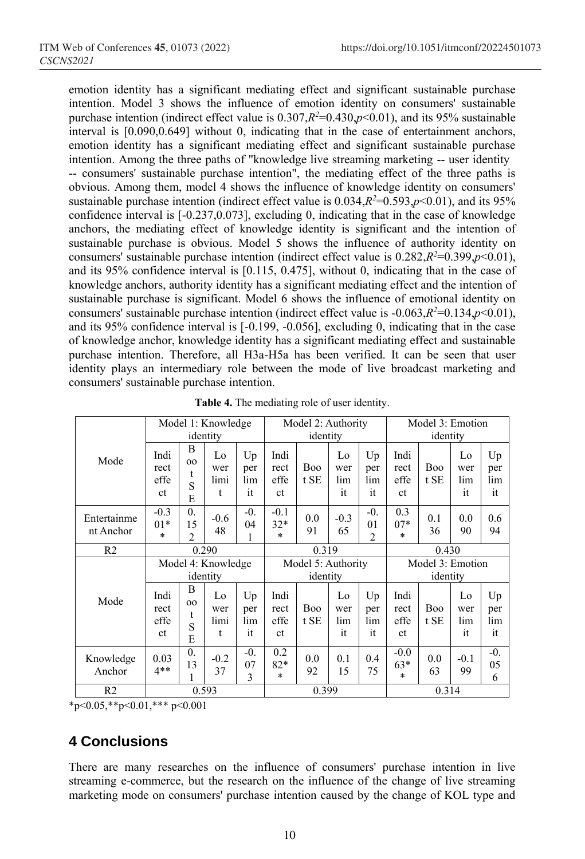emotion identity has a significant mediating effect and significant sustainable purchase intention. Model 3 shows the influence of emotion identity on consumers' sustainable purchase intention (indirect effect value is  $0.307$ , $R^2$ =0.430, $p$ <0.01), and its 95% sustainable interval is [0.090,0.649] without 0, indicating that in the case of entertainment anchors, emotion identity has a significant mediating effect and significant sustainable purchase intention. Among the three paths of "knowledge live streaming marketing -- user identity -- consumers' sustainable purchase intention", the mediating effect of the three paths is obvious. Among them, model 4 shows the influence of knowledge identity on consumers' sustainable purchase intention (indirect effect value is  $0.034$ ,  $R<sup>2</sup>=0.593$ ,  $p<0.01$ ), and its 95% confidence interval is [-0.237,0.073], excluding 0, indicating that in the case of knowledge anchors, the mediating effect of knowledge identity is significant and the intention of sustainable purchase is obvious. Model 5 shows the influence of authority identity on consumers' sustainable purchase intention (indirect effect value is  $0.282$ , $R^2$ = $0.399$ , $p$ < $0.01$ ), and its 95% confidence interval is [0.115, 0.475], without 0, indicating that in the case of knowledge anchors, authority identity has a significant mediating effect and the intention of sustainable purchase is significant. Model 6 shows the influence of emotional identity on consumers' sustainable purchase intention (indirect effect value is  $-0.063$ , $R^2=0.134$ , $p<0.01$ ), and its 95% confidence interval is [-0.199, -0.056], excluding 0, indicating that in the case of knowledge anchor, knowledge identity has a significant mediating effect and sustainable purchase intention. Therefore, all H3a-H5a has been verified. It can be seen that user identity plays an intermediary role between the mode of live broadcast marketing and consumers' sustainable purchase intention.

|                          |                            |                                          | Model 1: Knowledge     |                        | Model 2: Authority         |                                |                        |                                | Model 3: Emotion           |                              |                        |                        |  |
|--------------------------|----------------------------|------------------------------------------|------------------------|------------------------|----------------------------|--------------------------------|------------------------|--------------------------------|----------------------------|------------------------------|------------------------|------------------------|--|
|                          |                            |                                          | identity               |                        |                            | identity                       |                        |                                |                            | identity                     |                        |                        |  |
| Mode                     | Indi<br>rect<br>effe<br>ct | B<br>00<br>t<br>S<br>E                   | Lo<br>wer<br>limi<br>t | Up<br>per<br>lim<br>it | Indi<br>rect<br>effe<br>ct | Boo<br>t SE                    | Lo<br>wer<br>lim<br>it | Up<br>per<br>lim<br>it         | Indi<br>rect<br>effe<br>ct | <b>Boo</b><br>t SE           | Lo<br>wer<br>lim<br>it | Up<br>per<br>lim<br>it |  |
| Entertainme<br>nt Anchor | $-0.3$<br>$01*$<br>$\ast$  | $\overline{0}$ .<br>15<br>$\overline{c}$ | $-0.6$<br>48           | $-0$ .<br>04<br>1      | $-0.1$<br>$32*$<br>$\ast$  | 0.0<br>91                      | $-0.3$<br>65           | $-0$ .<br>01<br>$\mathfrak{D}$ | 0.3<br>$07*$<br>$\ast$     | 0.1<br>36                    | 0.0<br>90              | 0.6<br>94              |  |
| R <sub>2</sub>           |                            |                                          | 0.290                  |                        | 0.319                      |                                |                        |                                | 0.430                      |                              |                        |                        |  |
|                          |                            | Model 4: Knowledge<br>identity           |                        |                        |                            |                                |                        |                                |                            |                              |                        |                        |  |
|                          |                            |                                          |                        |                        |                            | Model 5: Authority<br>identity |                        |                                |                            | Model 3: Emotion<br>identity |                        |                        |  |
| Mode                     | Indi<br>rect<br>effe<br>ct | B<br>00<br>t<br>S<br>E                   | Lo<br>wer<br>limi<br>t | Up<br>per<br>lim<br>it | Indi<br>rect<br>effe<br>ct | <b>Boo</b><br>t SE             | Lo<br>wer<br>lim<br>it | Up<br>per<br>lim<br>it         | Indi<br>rect<br>effe<br>ct | <b>Boo</b><br>t SE           | Lo<br>wer<br>lim<br>it | Up<br>per<br>lim<br>it |  |
| Knowledge<br>Anchor      | 0.03<br>$4**$              | $\overline{0}$ .<br>13<br>1              | $-0.2$<br>37           | $-0$ .<br>07<br>3      | 0.2<br>$82*$<br>$\ast$     | 0.0<br>92                      | 0.1<br>15              | 0.4<br>75                      | $-0.0$<br>$63*$<br>$\ast$  | 0.0<br>63                    | $-0.1$<br>99           | $-0.$<br>05<br>6       |  |

**Table 4.** The mediating role of user identity.

 $*_{p \leq 0.05,*p \leq 0.01,***p \leq 0.001}$ 

# **4 Conclusions**

There are many researches on the influence of consumers' purchase intention in live streaming e-commerce, but the research on the influence of the change of live streaming marketing mode on consumers' purchase intention caused by the change of KOL type and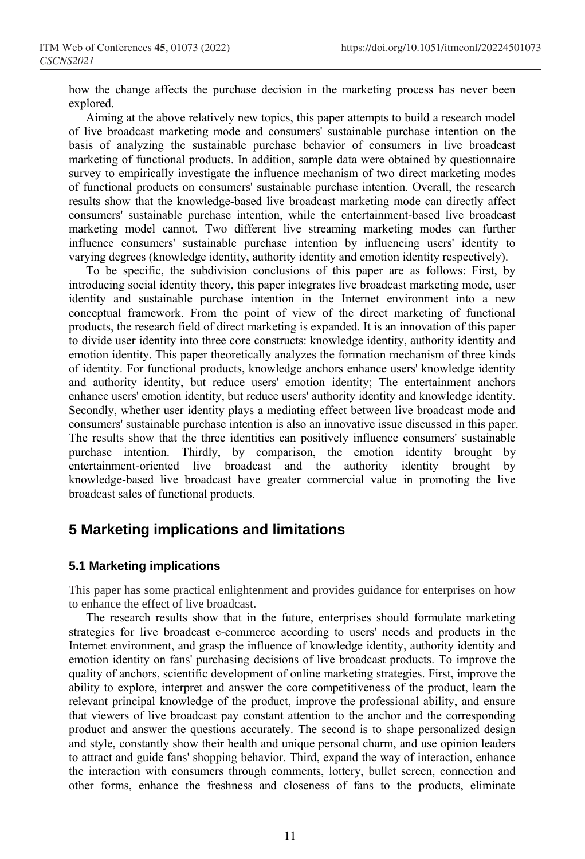how the change affects the purchase decision in the marketing process has never been explored.

Aiming at the above relatively new topics, this paper attempts to build a research model of live broadcast marketing mode and consumers' sustainable purchase intention on the basis of analyzing the sustainable purchase behavior of consumers in live broadcast marketing of functional products. In addition, sample data were obtained by questionnaire survey to empirically investigate the influence mechanism of two direct marketing modes of functional products on consumers' sustainable purchase intention. Overall, the research results show that the knowledge-based live broadcast marketing mode can directly affect consumers' sustainable purchase intention, while the entertainment-based live broadcast marketing model cannot. Two different live streaming marketing modes can further influence consumers' sustainable purchase intention by influencing users' identity to varying degrees (knowledge identity, authority identity and emotion identity respectively).

To be specific, the subdivision conclusions of this paper are as follows: First, by introducing social identity theory, this paper integrates live broadcast marketing mode, user identity and sustainable purchase intention in the Internet environment into a new conceptual framework. From the point of view of the direct marketing of functional products, the research field of direct marketing is expanded. It is an innovation of this paper to divide user identity into three core constructs: knowledge identity, authority identity and emotion identity. This paper theoretically analyzes the formation mechanism of three kinds of identity. For functional products, knowledge anchors enhance users' knowledge identity and authority identity, but reduce users' emotion identity; The entertainment anchors enhance users' emotion identity, but reduce users' authority identity and knowledge identity. Secondly, whether user identity plays a mediating effect between live broadcast mode and consumers' sustainable purchase intention is also an innovative issue discussed in this paper. The results show that the three identities can positively influence consumers' sustainable purchase intention. Thirdly, by comparison, the emotion identity brought by entertainment-oriented live broadcast and the authority identity brought by knowledge-based live broadcast have greater commercial value in promoting the live broadcast sales of functional products.

# **5 Marketing implications and limitations**

### **5.1 Marketing implications**

This paper has some practical enlightenment and provides guidance for enterprises on how to enhance the effect of live broadcast.

The research results show that in the future, enterprises should formulate marketing strategies for live broadcast e-commerce according to users' needs and products in the Internet environment, and grasp the influence of knowledge identity, authority identity and emotion identity on fans' purchasing decisions of live broadcast products. To improve the quality of anchors, scientific development of online marketing strategies. First, improve the ability to explore, interpret and answer the core competitiveness of the product, learn the relevant principal knowledge of the product, improve the professional ability, and ensure that viewers of live broadcast pay constant attention to the anchor and the corresponding product and answer the questions accurately. The second is to shape personalized design and style, constantly show their health and unique personal charm, and use opinion leaders to attract and guide fans' shopping behavior. Third, expand the way of interaction, enhance the interaction with consumers through comments, lottery, bullet screen, connection and other forms, enhance the freshness and closeness of fans to the products, eliminate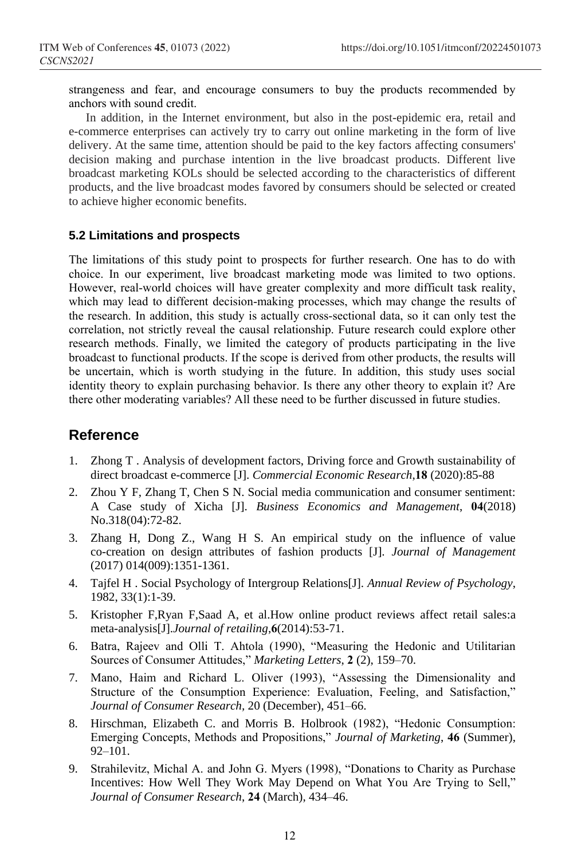strangeness and fear, and encourage consumers to buy the products recommended by anchors with sound credit.

In addition, in the Internet environment, but also in the post-epidemic era, retail and e-commerce enterprises can actively try to carry out online marketing in the form of live delivery. At the same time, attention should be paid to the key factors affecting consumers' decision making and purchase intention in the live broadcast products. Different live broadcast marketing KOLs should be selected according to the characteristics of different products, and the live broadcast modes favored by consumers should be selected or created to achieve higher economic benefits.

#### **5.2 Limitations and prospects**

The limitations of this study point to prospects for further research. One has to do with choice. In our experiment, live broadcast marketing mode was limited to two options. However, real-world choices will have greater complexity and more difficult task reality, which may lead to different decision-making processes, which may change the results of the research. In addition, this study is actually cross-sectional data, so it can only test the correlation, not strictly reveal the causal relationship. Future research could explore other research methods. Finally, we limited the category of products participating in the live broadcast to functional products. If the scope is derived from other products, the results will be uncertain, which is worth studying in the future. In addition, this study uses social identity theory to explain purchasing behavior. Is there any other theory to explain it? Are there other moderating variables? All these need to be further discussed in future studies.

## **Reference**

- 1. Zhong T . Analysis of development factors, Driving force and Growth sustainability of direct broadcast e-commerce [J]. *Commercial Economic Research*,**18** (2020):85-88
- 2. Zhou Y F, Zhang T, Chen S N. Social media communication and consumer sentiment: A Case study of Xicha [J]. *Business Economics and Management*, **04**(2018) No.318(04):72-82.
- 3. Zhang H, Dong Z., Wang H S. An empirical study on the influence of value co-creation on design attributes of fashion products [J]. *Journal of Management*  (2017) 014(009):1351-1361.
- 4. Tajfel H . Social Psychology of Intergroup Relations[J]. *Annual Review of Psychology*, 1982, 33(1):1-39.
- 5. Kristopher F,Ryan F,Saad A, et al.How online product reviews affect retail sales:a meta-analysis[J].*Journal of retailing*,**6**(2014):53-71.
- 6. Batra, Rajeev and Olli T. Ahtola (1990), "Measuring the Hedonic and Utilitarian Sources of Consumer Attitudes," *Marketing Letters*, **2** (2), 159–70.
- 7. Mano, Haim and Richard L. Oliver (1993), "Assessing the Dimensionality and Structure of the Consumption Experience: Evaluation, Feeling, and Satisfaction," *Journal of Consumer Research,* 20 (December), 451–66.
- 8. Hirschman, Elizabeth C. and Morris B. Holbrook (1982), "Hedonic Consumption: Emerging Concepts, Methods and Propositions," *Journal of Marketing*, **46** (Summer), 92–101.
- 9. Strahilevitz, Michal A. and John G. Myers (1998), "Donations to Charity as Purchase Incentives: How Well They Work May Depend on What You Are Trying to Sell," *Journal of Consumer Research*, **24** (March), 434–46.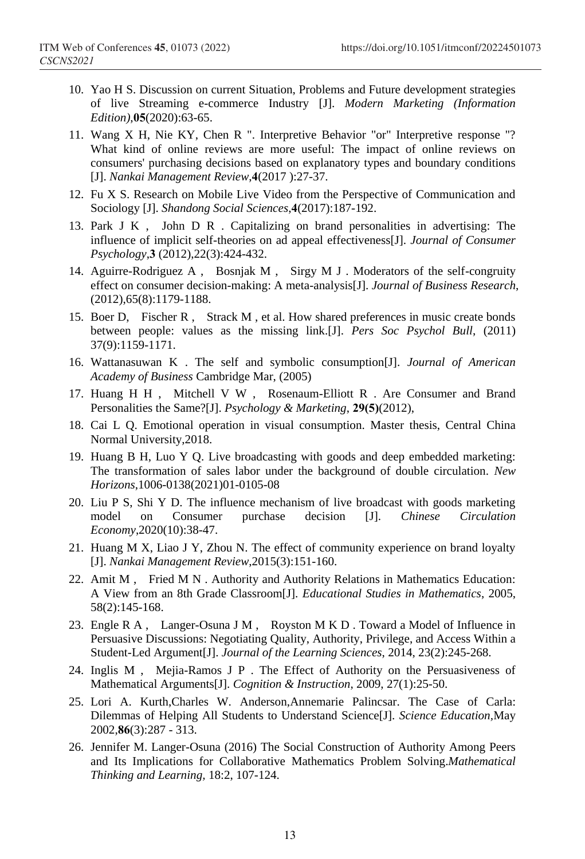- 10. Yao H S. Discussion on current Situation, Problems and Future development strategies of live Streaming e-commerce Industry [J]. *Modern Marketing (Information Edition)*,**05**(2020):63-65.
- 11. Wang X H, Nie KY, Chen R ". Interpretive Behavior "or" Interpretive response "? What kind of online reviews are more useful: The impact of online reviews on consumers' purchasing decisions based on explanatory types and boundary conditions [J]. *Nankai Management Review*,**4**(2017 ):27-37.
- 12. Fu X S. Research on Mobile Live Video from the Perspective of Communication and Sociology [J]. *Shandong Social Sciences*,**4**(2017):187-192.
- 13. Park J K , John D R . Capitalizing on brand personalities in advertising: The influence of implicit self-theories on ad appeal effectiveness[J]. *Journal of Consumer Psychology*,**3** (2012),22(3):424-432.
- 14. Aguirre-Rodriguez A , Bosnjak M , Sirgy M J . Moderators of the self-congruity effect on consumer decision-making: A meta-analysis[J]. *Journal of Business Research*, (2012),65(8):1179-1188.
- 15. Boer D, Fischer R , Strack M , et al. How shared preferences in music create bonds between people: values as the missing link.[J]. *Pers Soc Psychol Bull*, (2011) 37(9):1159-1171.
- 16. Wattanasuwan K . The self and symbolic consumption[J]. *Journal of American Academy of Business* Cambridge Mar, (2005)
- 17. Huang H H , Mitchell V W , Rosenaum-Elliott R . Are Consumer and Brand Personalities the Same?[J]. *Psychology & Marketing*, **29(5)**(2012),
- 18. Cai L Q. Emotional operation in visual consumption. Master thesis, Central China Normal University,2018.
- 19. Huang B H, Luo Y Q. Live broadcasting with goods and deep embedded marketing: The transformation of sales labor under the background of double circulation. *New Horizons*,1006-0138(2021)01-0105-08
- 20. Liu P S, Shi Y D. The influence mechanism of live broadcast with goods marketing model on Consumer purchase decision [J]. *Chinese Circulation Economy*,2020(10):38-47.
- 21. Huang M X, Liao J Y, Zhou N. The effect of community experience on brand loyalty [J]. *Nankai Management Review*,2015(3):151-160.
- 22. Amit M , Fried M N . Authority and Authority Relations in Mathematics Education: A View from an 8th Grade Classroom[J]. *Educational Studies in Mathematics*, 2005, 58(2):145-168.
- 23. Engle R A , Langer-Osuna J M , Royston M K D . Toward a Model of Influence in Persuasive Discussions: Negotiating Quality, Authority, Privilege, and Access Within a Student-Led Argument[J]. *Journal of the Learning Sciences*, 2014, 23(2):245-268.
- 24. Inglis M , Mejia-Ramos J P . The Effect of Authority on the Persuasiveness of Mathematical Arguments[J]. *Cognition & Instruction*, 2009, 27(1):25-50.
- 25. Lori A. Kurth,Charles W. Anderson,Annemarie Palincsar. The Case of Carla: Dilemmas of Helping All Students to Understand Science[J]. *Science Education,*May 2002,**86**(3):287 - 313.
- 26. Jennifer M. Langer-Osuna (2016) The Social Construction of Authority Among Peers and Its Implications for Collaborative Mathematics Problem Solving.*Mathematical Thinking and Learning,* 18:2, 107-124.